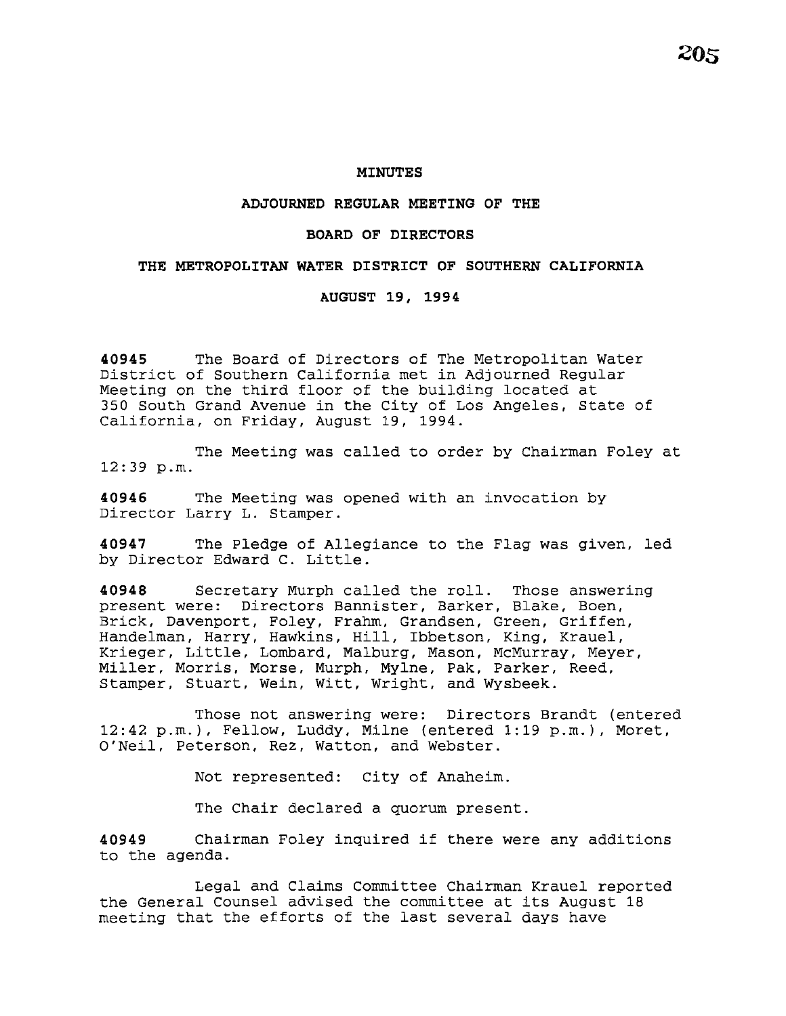#### **MINUTES**

### **ADJOURNED REGULAR MEETING OF THE**

#### **BOARD OF DIRECTORS**

### **THE METROPOLITAN WATER DISTRICT OF SOUTHERN CALIFORNIA**

## **AUGUST 19, 1994**

**40945** The Board of Directors of The Metropolitan Water District of Southern California met in Adjourned Regular Meeting on the third floor of the building located at 350 South Grand Avenue in the City of Los Angeles, State of California, on Friday, August 19, 1994.

The Meeting was called to order by Chairman Foley at 12:39 p.m.

**40946** The Meeting was opened with an invocation by Director Larry L. Stamper.

**40947** The Pledge of Allegiance to the Flag was given, led by Director Edward C. Little.

**40948** Secretary Murph called the roll. Those answering present were: Directors Bannister, Barker, Blake, Boen, Brick, Davenport, Foley, Frahm, Grandsen, Green, Griffen, Handelman, Harry, Hawkins, Hill, Ibbetson, King, Krauel, Krieger, Little, Lombard, Malburg, Mason, McMurray, Meyer, Miller, Morris, Morse, Murph, Mylne, Pak, Parker, Reed, Stamper, Stuart, Wein, Witt, Wright, and Wysbeek.

Those not answering were: Directors Brandt (entered 12:42 p.m.), Fellow, Luddy, Milne (entered 1:19 p.m.), Moret, O'Neil, Peterson, Rez, Watton, and Webster.

Not represented: City of Anaheim.

The Chair declared a quorum present.

**<sup>40949</sup>**Chairman Foley inquired if there were any additions to the agenda.

Legal and Claims Committee Chairman Krauel reported the General Counsel advised the committee at its August 18 meeting that the efforts of the last several days have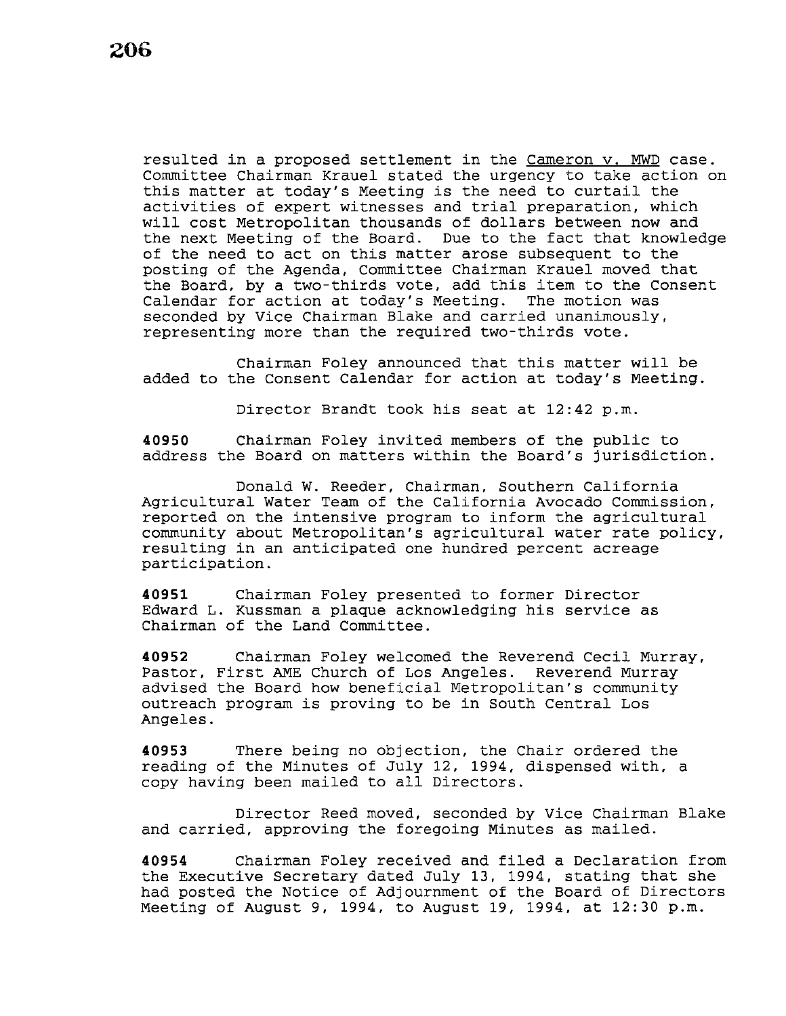resulted in a proposed settlement in the cameron v. MWD case. Committee Chairman Krauel stated the urgency to take action on this matter at today's Meeting is the need to curtail the activities of expert witnesses and trial preparation, which will cost Metropolitan thousands of dollars between now and<br>the next Meeting of the Board. Due to the fact that knowledge the next Meeting of the Board. of the need to act on this matter arose subsequent to the posting of the Agenda, Committee Chairman Krauel moved that the Board, by a two-thirds vote, add this item to the Consent<br>Calendar for action at today's Meeting. The motion was Calendar for action at today's Meeting. seconded by Vice Chairman Blake and carried unanimously, representing more than the required two-thirds vote.

Chairman Foley announced that this matter will be added to the Consent Calendar for action at today's Meeting.

Director Brandt took his seat at 12:42 p.m.

**40950** Chairman Foley invited members of the public to address the Board on matters within the Board's jurisdiction.

Donald W. Reeder, Chairman, Southern California Agricultural Water Team of the California Avocado Commission, reported on the intensive program to inform the agricultural community about Metropolitan's agricultural water rate policy, resulting in an anticipated one hundred percent acreage participation.

**40951** Chairman Foley presented to former Director Edward L. Kussman a plaque acknowledging his service as Chairman of the Land Committee.

**40952** Chairman Foley welcomed the Reverend Cecil Murray, Pastor, First AME Church of Los Angeles. Reverend Murray advised the Board how beneficial Metropolitan's community outreach program is proving to be in South Central Los Angeles.

**40953** There being no objection, the Chair ordered the reading of the Minutes of July 12, 1994, dispensed with, a copy having been mailed to all Directors.

Director Reed moved, seconded by Vice Chairman Blake and carried, approving the foregoing Minutes as mailed.

**40954** Chairman Foley received and filed a Declaration from the Executive Secretary dated July 13, 1994, stating that she had posted the Notice of Adjournment of the Board of Directors Meeting of August 9, 1994, to August 19, 1994, at 12:30 p.m.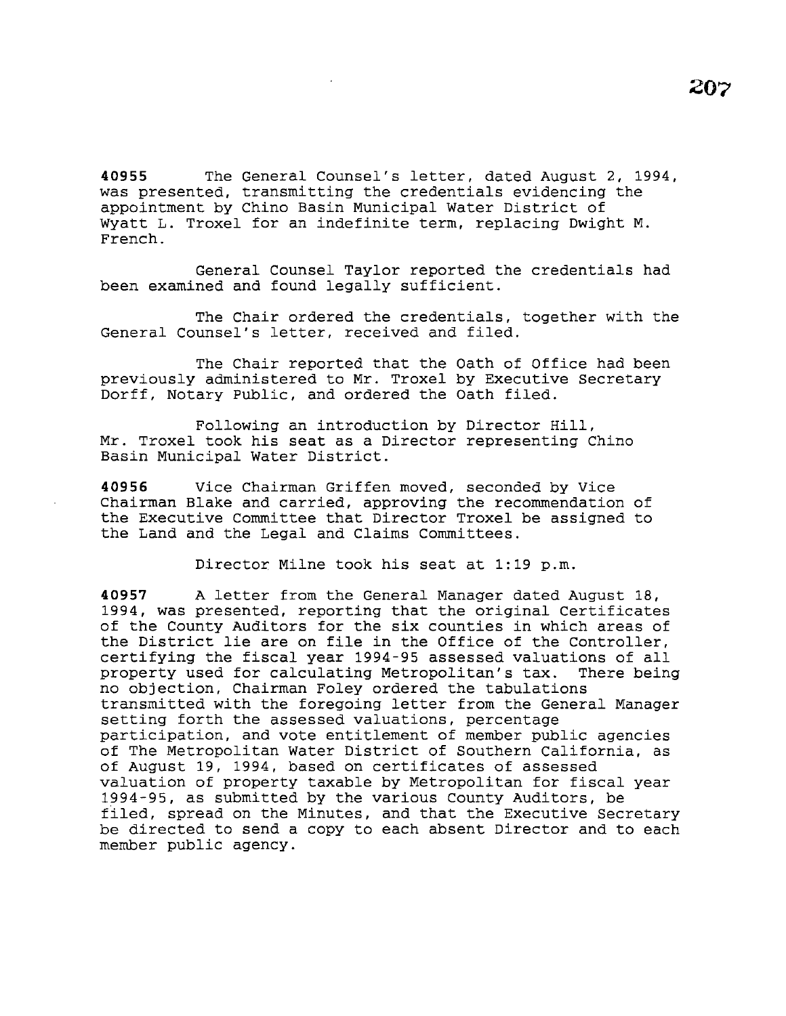**40955** The General Counsel's letter, dated August 2, 1994, was presented, transmitting the credentials evidencing the appointment by Chino Basin Municipal Water District of Wyatt L. Troxel for an indefinite term, replacing Dwight M. French.

General Counsel Taylor reported the credentials had been examined and found legally sufficient.

The Chair ordered the credentials, together with the General Counsel's letter, received and filed.

The Chair reported that the Oath of Office had been previously administered to Mr. Troxel by Executive Secretary Dorff, Notary Public, and ordered the Oath filed.

Following an introduction by Director Hill, Mr. Troxel took his seat as a Director representing Chino Basin Municipal Water District.

**40956** Vice Chairman Griffen moved, seconded by Vice Chairman Blake and carried, approving the recommendation of the Executive Committee that Director Troxel be assigned to the Land and the Legal and Claims Committees.

Director Milne took his seat at 1:19 p.m.

**40957** A letter from the General Manager dated August 18, 1994, was presented, reporting that the original Certificates of the County Auditors for the six counties in which areas of the District lie are on file in the Office of the Controller, certifying the fiscal year 1994-95 assessed valuations of all property used for calculating Metropolitan's tax. no objection, Chairman Foley ordered the tabulations transmitted with the foregoing letter from the General Manager setting forth the assessed valuations, percentage participation, and vote entitlement of member public agencies of The Metropolitan Water District of Southern California, as of August 19, 1994, based on certificates of assessed valuation of property taxable by Metropolitan for fiscal year 1994-95, as submitted by the various County Auditors, be filed, spread on the Minutes, and that the Executive Secretary be directed to send a copy to each absent Director and to each member public agency.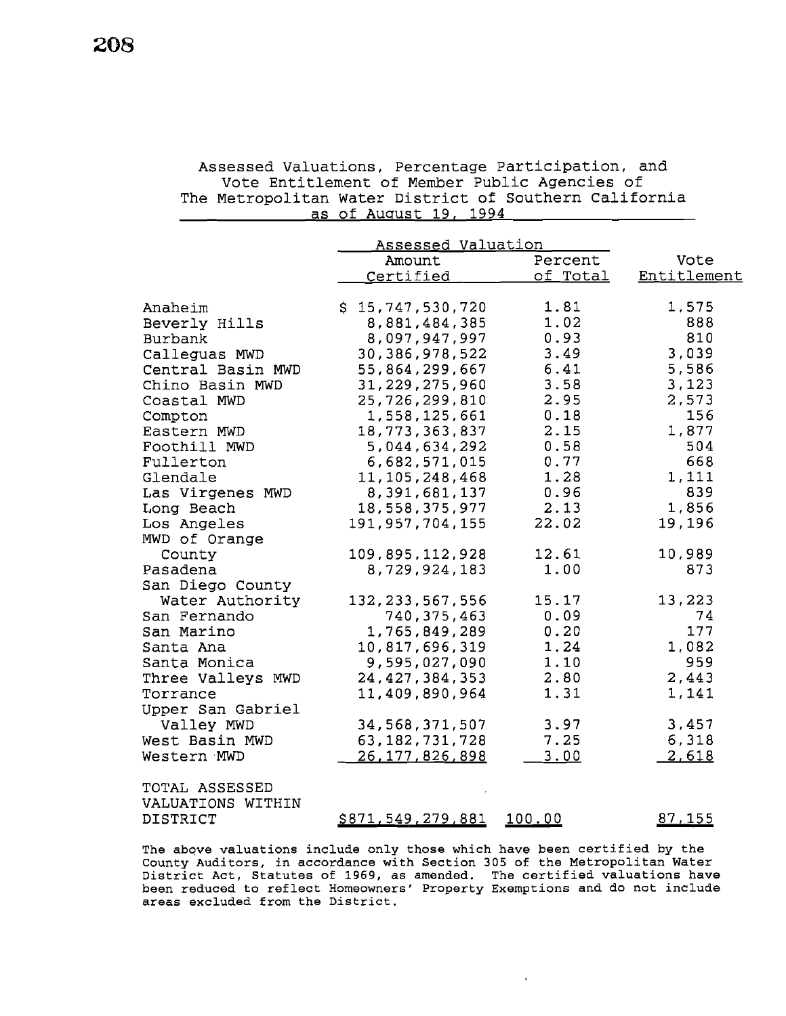# Assessed Valuations, Percentage Participation, and Vote Entitlement of Member Public Agencies of The Metropolitan Water District of Southern California as of August 19, 1994

|                   | Assessed Valuation       |                 |             |
|-------------------|--------------------------|-----------------|-------------|
|                   | Amount                   | Percent         | Vote        |
|                   | Certified                | <u>of Total</u> | Entitlement |
|                   |                          |                 |             |
| Anaheim           | \$15,747,530,720         | 1.81            | 1,575       |
| Beverly Hills     | 8,881,484,385            | 1.02            | 888         |
| Burbank           | 8,097,947,997            | 0.93            | 810         |
| Calleguas MWD     | 30, 386, 978, 522        | 3.49            | 3,039       |
| Central Basin MWD | 55,864,299,667           | 6.41            | 5,586       |
| Chino Basin MWD   | 31, 229, 275, 960        | 3.58            | 3,123       |
| Coastal MWD       | 25, 726, 299, 810        | 2.95            | 2,573       |
| Compton           | 1,558,125,661            | 0.18            | 156         |
| Eastern MWD       | 18,773,363,837           | 2.15            | 1,877       |
| Foothill MWD      | 5,044,634,292            | 0.58            | 504         |
| Fullerton         | 6,682,571,015            | 0.77            | 668         |
| Glendale          | 11,105,248,468           | 1.28            | 1,111       |
| Las Virgenes MWD  | 8,391,681,137            | 0.96            | 839         |
| Long Beach        | 18,558,375,977           | 2.13            | 1,856       |
| Los Angeles       | 191, 957, 704, 155       | 22.02           | 19,196      |
| MWD of Orange     |                          |                 |             |
| County            | 109,895,112,928          | 12.61           | 10,989      |
| Pasadena          | 8,729,924,183            | 1.00            | 873         |
| San Diego County  |                          |                 |             |
| Water Authority   | 132, 233, 567, 556       | 15.17           | 13,223      |
| San Fernando      | 740, 375, 463            | 0.09            | 74          |
| San Marino        | 1,765,849,289            | 0.20            | 177         |
| Santa Ana         | 10,817,696,319           | 1.24            | 1,082       |
| Santa Monica      | 9,595,027,090            | 1.10            | 959         |
| Three Valleys MWD | 24, 427, 384, 353        | 2.80            | 2,443       |
| Torrance          | 11,409,890,964           | 1.31            | 1,141       |
| Upper San Gabriel |                          |                 |             |
| Valley MWD        | 34, 568, 371, 507        | 3.97            | 3,457       |
| West Basin MWD    | 63, 182, 731, 728        | 7.25            | 6,318       |
| Western MWD       | 26, 177, 826, 898        | 3.00            | 2,618       |
| TOTAL ASSESSED    |                          |                 |             |
| VALUATIONS WITHIN |                          |                 |             |
| DISTRICT          | <u>\$871,549,279,881</u> | 100.00          | 87,155      |
|                   |                          |                 |             |

The above valuations include only those which have been certified by the County Auditors, in accordance with Section 305 of the Metropolitan Water District Act, Statutes of 1969, as amended. The certified valuations have been reduced to reflect Homeowners' Property Exemptions and do not include areas excluded from the District.

 $\ddot{\phantom{a}}$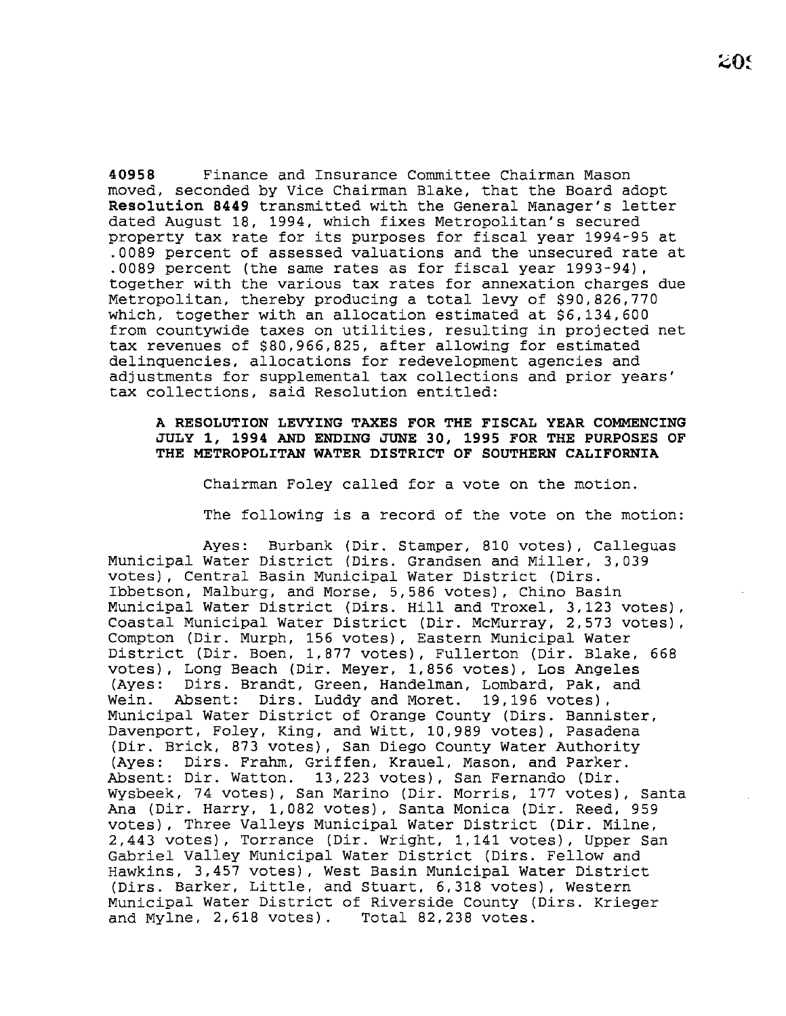**40958** Finance and Insurance Committee Chairman Mason moved, seconded by Vice Chairman Blake, that the Board adopt **Resolution 8449** transmitted with the General Manager's letter dated August 18, 1994, which fixes Metropolitan's secured property tax rate for its purposes for fiscal year 1994-95 at .0089 percent of assessed valuations and the unsecured rate at .0089 percent (the same rates as for fiscal year 1993-94), together with the various tax rates for annexation charges due Metropolitan, thereby producing a total levy of \$90,826,770 which, together with an allocation estimated at \$6,134,600 from countywide taxes on utilities, resulting in projected net tax revenues of \$80,966,825, after allowing for estimated delinquencies, allocations for redevelopment agencies and adjustments for supplemental tax collections and prior years' tax collections, said Resolution entitled:

## **A RESOLUTION LEVYING TAXES FOR THE FISCAL YEAR COMMENCING JULY 1, 1994 AND ENDING JUNE 30, 1995 FOR THE PURPOSES OF THE METROPOLITAN WATER DISTRICT OF SOUTHERN CALIFORNIA**

Chairman Foley called for a vote on the motion.

The following is a record of the vote on the motion:

Ayes: Burbank (Dir. Stamper, 810 votes), Calleguas Municipal Water District (Dirs. Grandsen and Miller, 3,039 votes), Central Basin Municipal Water District (Dirs. Ibbetson, Malburg, and Morse, 5,586 votes), Chino Basin Municipal Water District (Dirs. Hill and Troxel, 3,123 votes), Coastal Municipal Water District (Dir. McMurray, 2,573 votes), Compton (Dir. Murph, 156 votes), Eastern Municipal Water District (Dir. Boen, 1,877 votes), Fullerton (Dir. Blake, 668 votes), Long Beach (Dir. Meyer, 1,856 votes), Los Angeles Dirs. Brandt, Green, Handelman, Lombard, Pak, and Wein. Absent: Dirs. Luddy and Moret. 19,196 votes), Municipal Water District of Orange County (Dirs. Bannister, Davenport, Foley, King, and Witt, 10,989 votes), Pasadena (Dir. Brick, 873 votes), San Diego County Water Authority (Ayes: Dirs. Frahm, Griffen, Krauel, Mason, and Parker. Absent: Dir. Watton. 13,223 votes), San Fernando (Dir. Wysbeek, 74 votes), San Marino (Dir. Morris, 177 votes), Santa Ana (Dir. Harry, 1,082 votes), Santa Monica (Dir. Reed, 959 votes), Three Valleys Municipal Water District (Dir. Milne, 2,443 votes), Torrance (Dir. Wright, 1,141 votes), Upper San Gabriel Valley Municipal Water District (Dirs. Fellow and Hawkins, 3,457 votes), West Basin Municipal Water District (Dirs. Barker, Little, and Stuart, 6,318 votes), Western Municipal Water District of Riverside County (Dirs. Krieger and Mylne, 2,618 votes). Total 82,238 votes.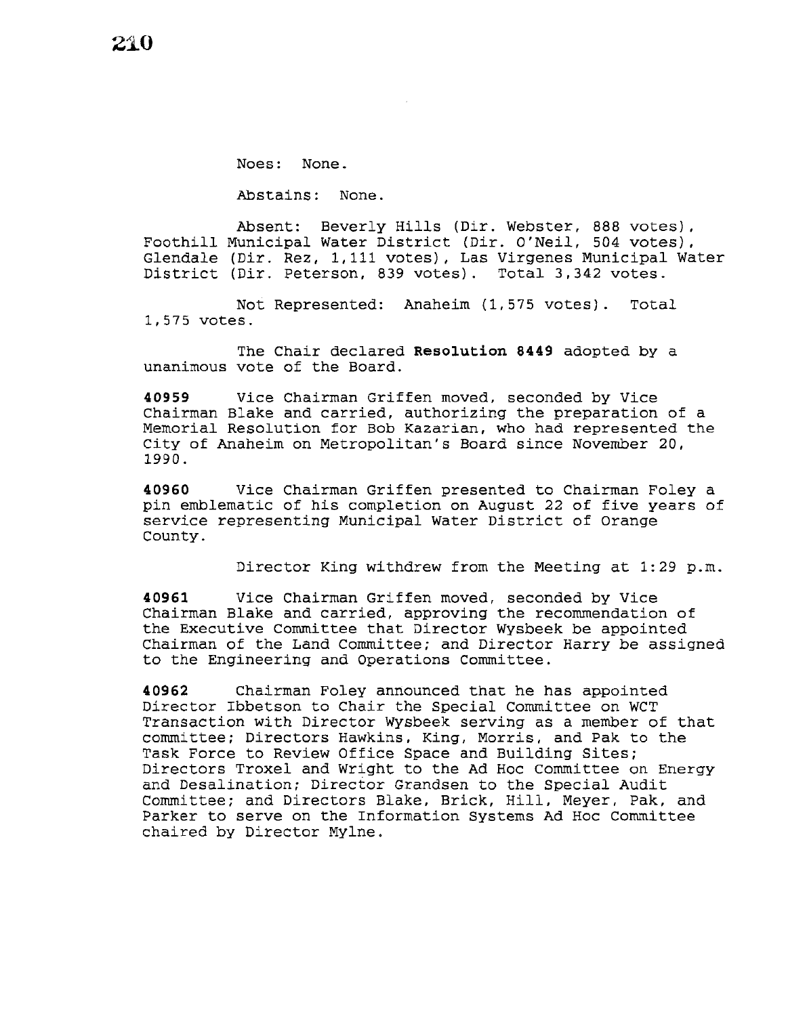Noes: None.

Abstains: None.

Absent: Beverly Hills (Dir. Webster, 888 votes), Foothill Municipal Water District (Dir. O'Neil, 504 votes), Glendale (Dir. Rez, 1,111 votes), Las Virgenes Municipal Water District (Dir. Peterson, 839 votes). Total 3,342 votes.

Not Represented: Anaheim (1,575 votes). Total 1,575 votes.

The Chair declared **Resolution 8449** adopted by a unanimous vote of the Board.

**40959** Vice Chairman Griffen moved, seconded by Vice Chairman Blake and carried, authorizing the preparation of a Memorial Resolution for Bob Kazarian, who had represented the City of Anaheim on Metropolitan's Board since November 20, 1990.

**40960** Vice Chairman Griffen presented to Chairman Foley a pin emblematic of his completion on August 22 of five years of service representing Municipal Water District of Orange County.

Director King withdrew from the Meeting at 1:29 p.m.

**40961** Vice Chairman Griffen moved, seconded by Vice Chairman Blake and carried, approving the recommendation of the Executive Committee that Director Wysbeek be appointed Chairman of the Land Committee; and Director Harry be assigned to the Engineering and Operations Committee.

**40962** Chairman Foley announced that he has appointed Director Ibbetson to Chair the Special Committee on WCT Transaction with Director Wysbeek serving as a member of that committee; Directors Hawkins, King, Morris, and Pak to the Task Force to Review Office Space and Building Sites; Directors Troxel and Wright to the Ad Hoc committee on Energy and Desalination; Director Grandsen to the Special Audit Committee; and Directors Blake, Brick, Hill, Meyer, Pak, and Parker to serve on the Information Systems Ad Hoc Committee chaired by Director Mylne.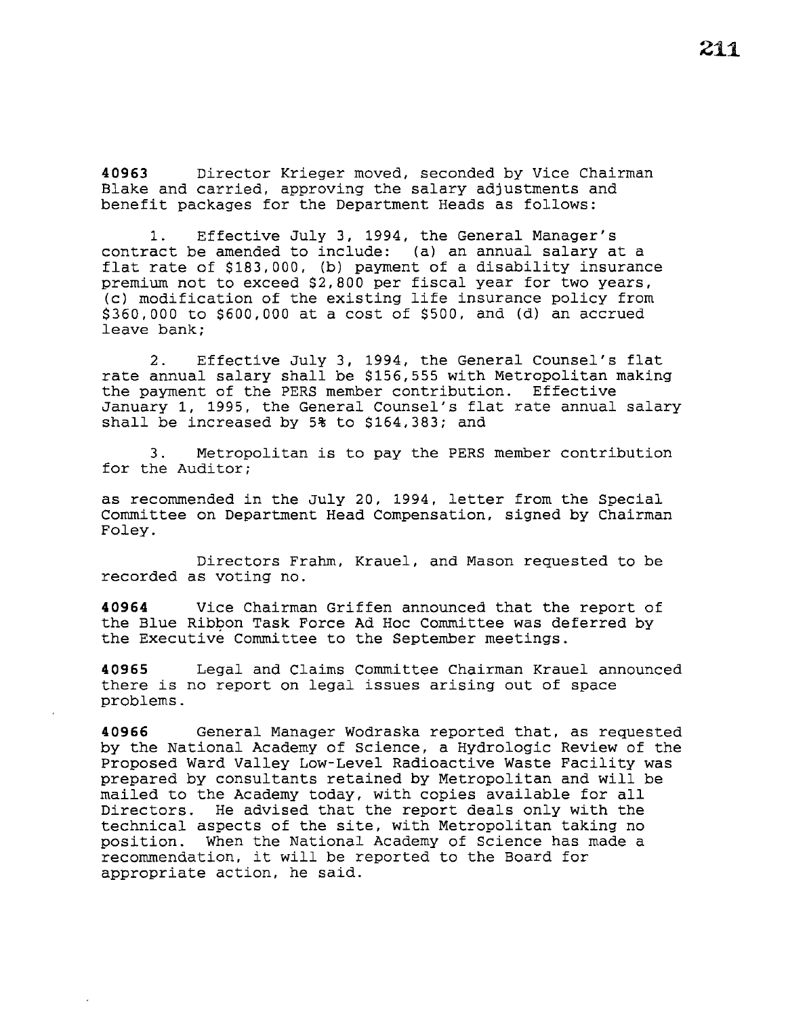**40963** Director Krieger moved, seconded by Vice Chairman Blake and carried, approving the salary adjustments and benefit packages for the Department Heads as follows:

1. Effective July 3, 1994, the General Manager's contract be amended to include: (a) an annual salary at a flat rate of \$183,000, (b) payment of a disability insurance premium not to exceed \$2,800 per fiscal year for two years, (c) modification of the existing life insurance policy from \$360,000 to \$600,000 at a cost of \$500, and (d) an accrued leave bank;

2. Effective July 3, 1994, the General Counsel's flat rate annual salary shall be \$156,555 with Metropolitan making the payment of the PERS member contribution. Effective January 1, 1995, the General Counsel's flat rate annual salary shall be increased by 5% to \$164,383; and

3. Metropolitan is to pay the PERS member contribution for the Auditor;

as recommended in the July 20, 1994, letter from the Special Committee on Department Head Compensation, signed by Chairman Foley.

Directors Frahm, Krauel, and Mason requested to be recorded as voting no.

**40964** Vice Chairman Griffen announced that the report of the Blue Ribbon Task Force Ad Hoc Committee was deferred by the Executive Committee to the September meetings.

**40965** Legal and Claims Committee Chairman Krauel announced there is no report on legal issues arising out of space problems.

**40966** General Manager Wodraska reported that, as requested by the National Academy of Science, a Hydrologic Review of the Proposed Ward Valley Low-Level Radioactive Waste Facility was prepared by consultants retained by Metropolitan and will be mailed to the Academy today, with copies available for all Directors. He advised that the report deals only with the technical aspects of the site, with Metropolitan taking no position. When the National Academy of Science has made a recommendation, it will be reported to the Board for appropriate action, he said.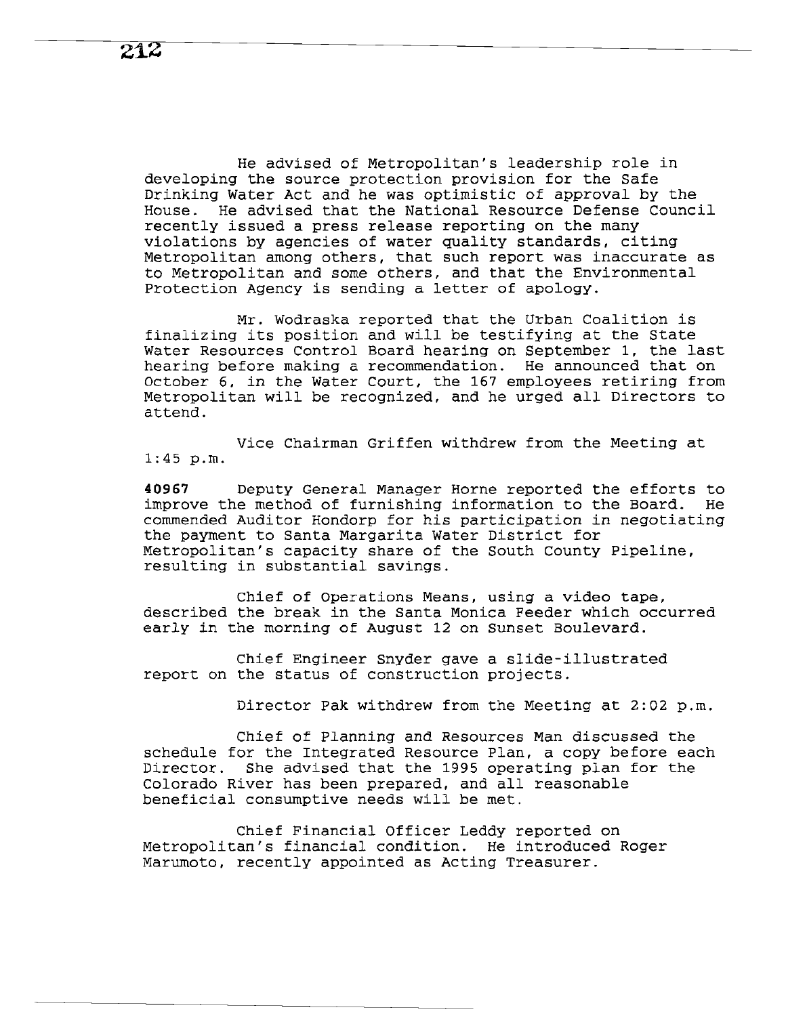He advised of Metropolitan's leadership role in developing the source protection provision for the Safe Drinking Water Act and he was optimistic of approval by the House. He advised that the National Resource Defense Council recently issued a press release reporting on the many violations by agencies of water quality standards, citing Metropolitan among others, that such report was inaccurate as to Metropolitan and some others, and that the Environmental Protection Agency is sending a letter of apology.

Mr. Wodraska reported that the Urban Coalition is finalizing its position and will be testifying at the State Water Resources Control Board hearing on September 1, the last hearing before making a recommendation. He announced that on October 6, in the Water Court, the 167 employees retiring from Metropolitan will be recognized, and he urged all Directors to attend.

Vice Chairman Griffen withdrew from the Meeting at 1:45 p.m.

**40967** Deputy General Manager Horne reported the efforts to improve the method of furnishing information to the Board. He commended Auditor Hondorp for his participation in negotiating the payment to Santa Margarita Water District for Metropolitan's capacity share of the South County Pipeline, resulting in substantial savings.

Chief of Operations Means, using a video tape, described the break in the Santa Monica Feeder which occurred early in the morning of August 12 on Sunset Boulevard.

Chief Engineer Snyder gave a slide-illustrated report on the status of construction projects.

Director Pak withdrew from the Meeting at 2:02 p.m.

Chief of Planning and Resources Man discussed the schedule for the Integrated Resource Plan, a copy before each Director. She advised that the 1995 operating plan for the Colorado River has been prepared, and all reasonable beneficial consumptive needs will be met.

Chief Financial Officer Leddy reported on Metropolitan's financial condition. He introduced Roger Marumoto, recently appointed as Acting Treasurer.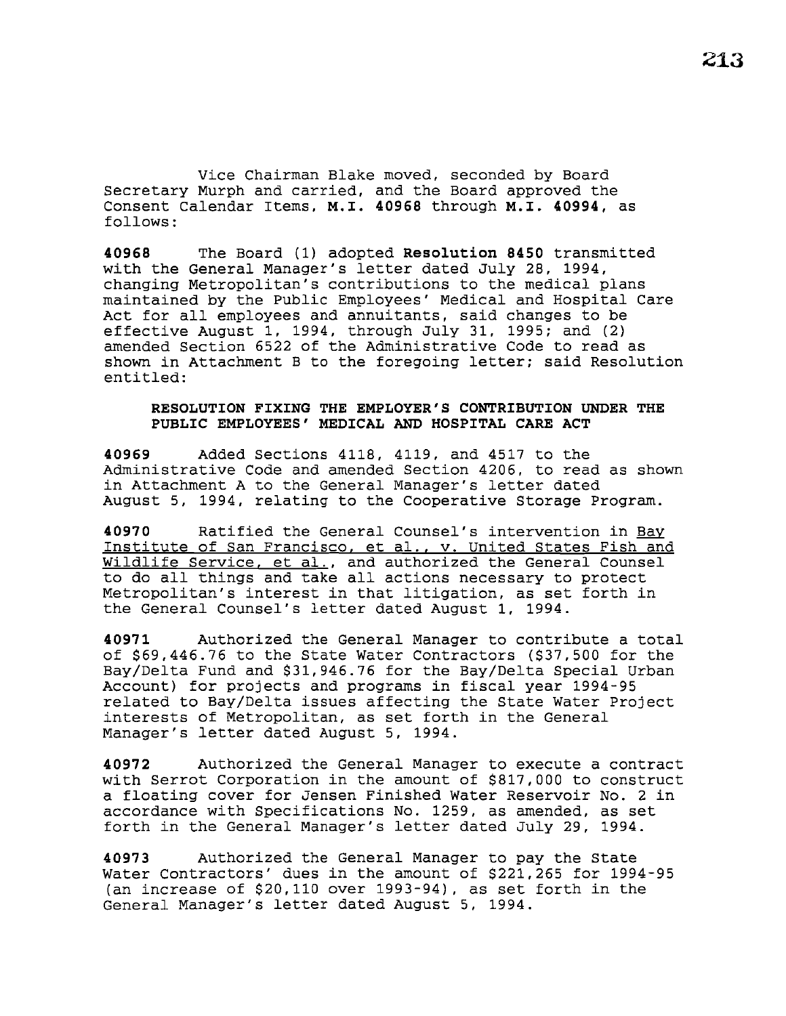Vice Chairman Blake moved, seconded by Board Secretary Murph and carried, and the Board approved the Consent Calendar Items, **M.I. 40968** through **M.I. 40994,** as follows:

**40968** The Board (1) adopted **Resolution 8450** transmitted with the General Manager's letter dated July 28, 1994, changing Metropolitan's contributions to the medical plans maintained by the Public Employees' Medical and Hospital Care Act for all employees and annuitants, said changes to be effective August 1, 1994, through July 31, 1995; and (2) amended Section 6522 of the Administrative Code to read as shown in Attachment B to the foregoing letter; said Resolution entitled:

### **RESOLUTION FIXING THE EMPLOYER'S CONTRIBUTION UNDER THE PUBLIC EMPLOYEES' MEDICAL AND HOSPITAL CARE ACT**

**40969** Added Sections 4118, 4119, and 4517 to the Administrative Code and amended Section 4206, to read as shown in Attachment A to the General Manager's letter dated August 5, 1994, relating to the Cooperative Storage Program.

**40970** Ratified the General Counsel's intervention in Bay Institute of San Francisco, et al., v. United States Fish and Wildlife Service, et al., and authorized the General Counsel to do all things and take all actions necessary to protect Metropolitan's interest in that litigation, as set forth in the General Counsel's letter dated August 1, 1994.

**40971** Authorized the General Manager to contribute a total of \$69,446.76 to the State Water Contractors (\$37,500 for the Bay/Delta Fund and \$31,946.76 for the Bay/Delta Special Urban Account) for projects and programs in fiscal year 1994-95 related to Bay/Delta issues affecting the State Water Project interests of Metropolitan, as set forth in the General Manager's letter dated August 5, 1994.

**40972** Authorized the General Manager to execute a contract with Serrot Corporation in the amount of \$817,000 to construct a floating cover for Jensen Finished Water Reservoir No. 2 in accordance with Specifications No. 1259, as amended, as set forth in the General Manager's letter dated July 29, 1994.

**40973** Authorized the General Manager to pay the State Water Contractors' dues in the amount of \$221,265 for 1994-95 (an increase of \$20,110 over 1993-94), as set forth in the General Manager's letter dated August 5, 1994.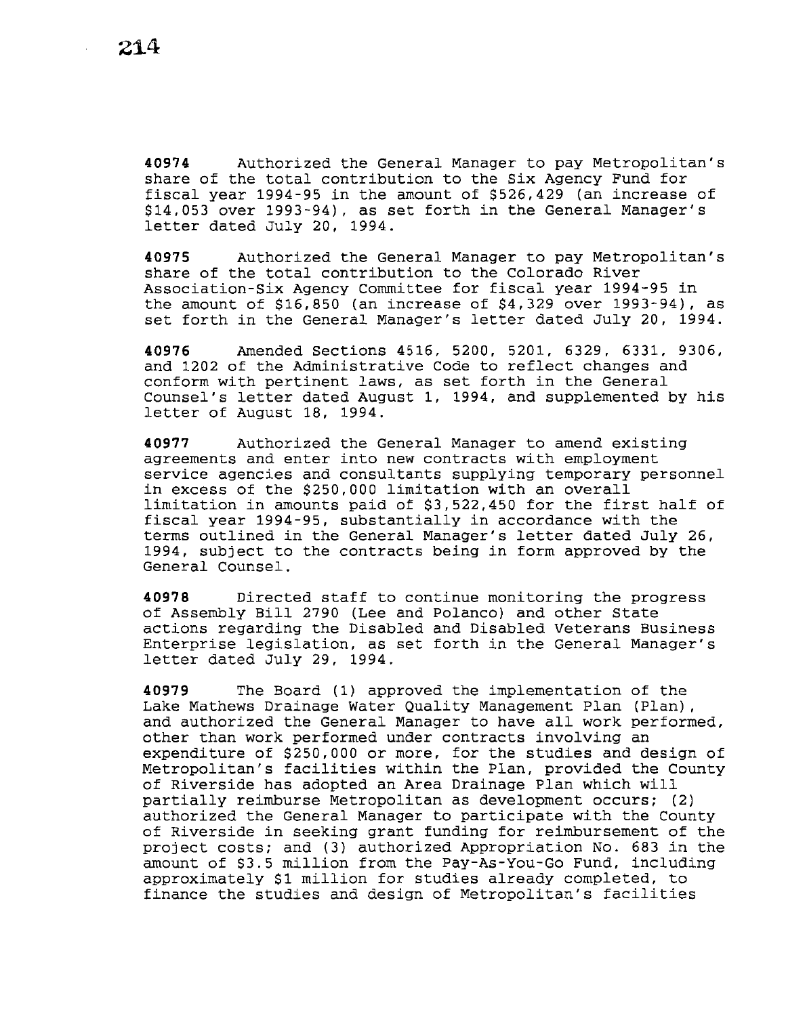**40974** Authorized the General Manager to pay Metropolitan's share of the total contribution to the Six Agency Fund for fiscal year 1994-95 in the amount of \$526,429 (an increase of \$14,053 over 1993-94), as set forth in the General Manager's letter dated July 20, 1994.

**40975** Authorized the General Manager to pay Metropolitan's share of the total contribution to the Colorado River Association-Six Agency Committee for fiscal year 1994-95 in the amount of \$16,850 (an increase of \$4,329 over 1993-94), as set forth in the General Manager's letter dated July 20, 1994.

**40976** Amended Sections 4516, 5200, 5201, 6329, 6331, 9306, and 1202 of the Administrative Code to reflect changes and conform with pertinent laws, as set forth in the General counsel's letter dated August 1, 1994, and supplemented by his letter of August 18, 1994.

**40977** Authorized the General Manager to amend existing agreements and enter into new contracts with employment service agencies and consultants supplying temporary personnel in excess of the \$250,000 limitation with an overall limitation in amounts paid of \$3,522,450 for the first half of fiscal year 1994-95, substantially in accordance with the terms outlined in the General Manager's letter dated July 26, 1994, subject to the contracts being in form approved by the General Counsel.

**40978** Directed staff to continue monitoring the progress of Assembly Bill 2790 (Lee and Polanco) and other State actions regarding the Disabled and Disabled Veterans Business Enterprise legislation, as set forth in the General Manager's letter dated July 29, 1994.

**40979** The Board (1) approved the implementation of the Lake Mathews Drainage Water Quality Management Plan (Plan) , and authorized the General Manager to have all work performed, other than work performed under contracts involving an expenditure of \$250,000 or more, for the studies and design of Metropolitan's facilities within the Plan, provided the County of Riverside has adopted an Area Drainage Plan which will partially reimburse Metropolitan as development occurs; (2) authorized the General Manager to participate with the County of Riverside in seeking grant funding for reimbursement of the project costs; and (3) authorized Appropriation No. 683 in the amount of \$3.5 million from the Pay-As-You-Go Fund, including approximately \$1 million for studies already completed, to finance the studies and design of Metropolitan's facilities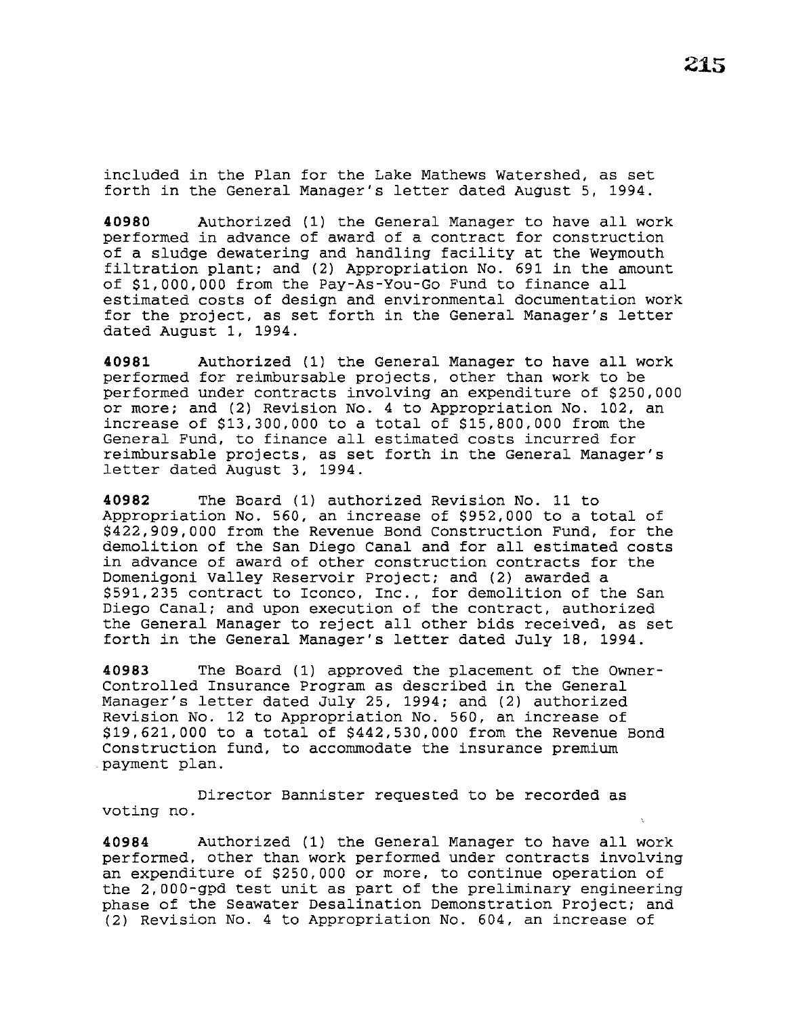included in the Plan for the Lake Mathews Watershed, as set forth in the General Manager's letter dated August 5, 1994.

**<sup>40980</sup>**Authorized (1) the General Manager to have all work performed in advance of award of a contract for construction of a sludge dewatering and handling facility at the Weymouth filtration plant; and (2) Appropriation No. 691 in the amount of \$1,000,000 from the Pay-As-You-Go Fund to finance all estimated costs of design and environmental documentation work for the project, as set forth in the General Manager's letter dated August 1, 1994.

**40981** Authorized (1) the General Manager to have all work performed for reimbursable projects, other than work to be performed under contracts involving an expenditure of \$250,000 or more; and (2) Revision No. 4 to Appropriation No. 102, an increase of \$13,300,000 to a total of \$15,800,000 from the General Fund, to finance all estimated costs incurred for reimbursable projects, as set forth in the General Manager's letter dated August 3, 1994.

**40982** The Board (1) authorized Revision No. 11 to Appropriation No. 560, an increase of \$952,000 to a total of \$422,909,000 from the Revenue Bond Construction Fund, for the demolition of the San Diego Canal and for all estimated costs in advance of award of other construction contracts for the Domenigoni Valley Reservoir Project; and (2) awarded a \$591,235 contract to Iconco, Inc., for demolition of the San Diego Canal; and upon execution of the contract, authorized the General Manager to reject all other bids received, as set forth in the General Manager's letter dated July 18, 1994.

**40983** The Board (1) approved the placement of the Owner-Controlled Insurance Program as described in the General Manager's letter dated July 25, 1994; and (2) authorized Revision No. 12 to Appropriation No. 560, an increase of \$19,621,000 to a total of \$442,530,000 from the Revenue Bond Construction fund, to accommodate the insurance premium payment plan.

Director Bannister requested to be recorded as voting no.

**<sup>40984</sup>**Authorized (1) the General Manager to have all work performed, other than work performed under contracts involving an expenditure of \$250,000 or more, to continue operation of the 2,000-gpd test unit as part of the preliminary engineering phase of the Seawater Desalination Demonstration Project; and (2) Revision No. 4 to Appropriation No. 604, an increase of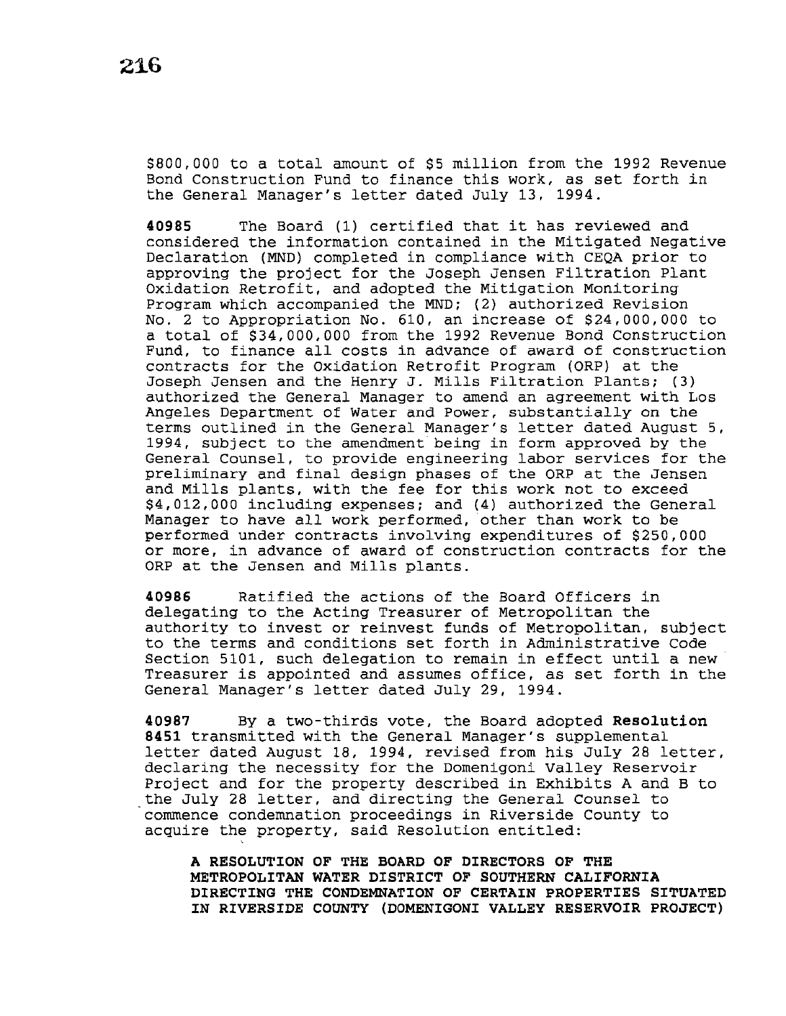\$800,000 to a total amount of \$5 million from the 1992 Revenue Bond Construction Fund to finance this work, as set forth in the General Manager's letter dated July 13, 1994.

**<sup>40985</sup>**The Board (1) certified that it has reviewed and considered the information contained in the Mitigated Negative Declaration (MND) completed in compliance with CEQA prior to approving the project for the Joseph Jensen Filtration Plant Oxidation Retrofit, and adopted the Mitigation Monitoring Program which accompanied the MND; (2) authorized Revision No. 2 to Appropriation No. 610, an increase of \$24,000,000 to a total of \$34,000,000 from the 1992 Revenue Bond Construction Fund, to finance all costs in advance of award of construction contracts for the Oxidation Retrofit Program (ORP) at the Joseph Jensen and the Henry J. Mills Filtration Plants; (3} authorized the General Manager to amend an agreement with Los Angeles Department of Water and Power, substantially on the terms outlined in the General Manager's letter dated August 5, 1994, subject to the amendment being in form approved by the General Counsel, to provide engineering labor services for the preliminary and final design phases of the ORP at the Jensen and Mills plants, with the fee for this work not to exceed \$4,012,000 including expenses; and (4) authorized the General Manager to have all work performed, other than work to be performed under contracts involving expenditures of \$250,000 or more, in advance of award of construction contracts for the ORP at the Jensen and Mills plants.

**40986** Ratified the actions of the Board Officers in delegating to the Acting Treasurer of Metropolitan the authority to invest or reinvest funds of Metropolitan, subject to the terms and conditions set forth in Administrative Code Section 5101, such delegation to remain in effect until a new Treasurer *is* appointed and assumes office, as set forth in the General Manager's letter dated July 29, 1994.

**40987** By a two-thirds vote, the Board adopted **Resolution 8451** transmitted with the General Manager's supplemental letter dated August 18, 1994, revised from his July 28 letter, declaring the necessity for the Domenigoni Valley Reservoir Project and for the property described in Exhibits A and B to the July 28 letter, and directing the General Counsel to commence condemnation proceedings in Riverside County to acquire the property, said Resolution entitled:

'

**A RESOLUTION OF THE BOARD OF DIRECTORS OF THE METROPOLITAN WATER DISTRICT OF SOUTHERN CALIFORNIA DIRECTING THE CONDEMNATION OF CERTAIN PROPERTIES SITUATED IN RIVERSIDE COUNTY (DOMENIGONI VALLEY RESERVOIR PROJECT)**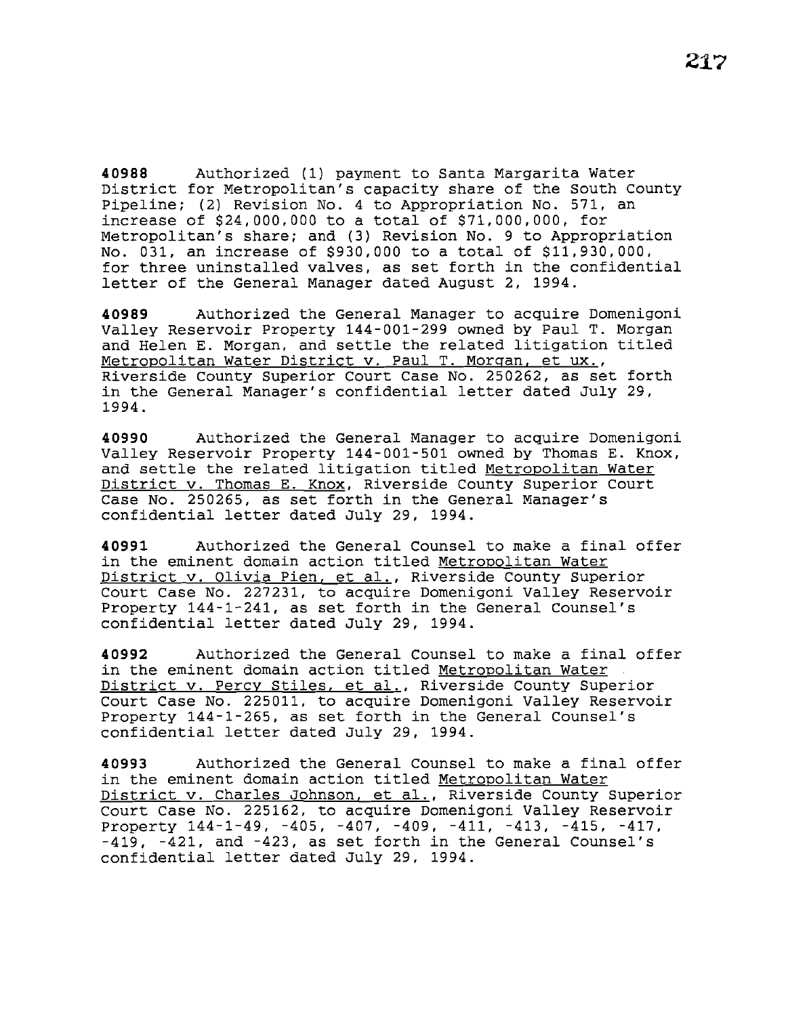**40988** Authorized (1) payment to Santa Margarita Water District for Metropolitan's capacity share of the South County Pipeline; (2) Revision No. 4 to Appropriation No. 571, an increase of \$24,000,000 to a total of \$71,000,000, for Metropolitan's share; and (3) Revision No. 9 to Appropriation No. 031, an increase of \$930,000 to a total of \$11,930,000, for three uninstalled valves, as set forth in the confidential letter of the General Manager dated August 2, 1994.

**40989** Authorized the General Manager to acquire Domenigoni Valley Reservoir Property 144-001-299 owned by Paul T. Morgan and Helen E. Morgan, and settle the related litigation titled Metropolitan Water District v. Paul T. Morgan, et ux., Riverside county Superior Court case No. 250262, as set forth in the General Manager's confidential letter dated July 29, 1994.

**40990** Authorized the General Manager to acquire Domenigoni Valley Reservoir Property 144-001-501 owned by Thomas E. Knox, and settle the related litigation titled Metropolitan Water District v. Thomas E. Knox, Riverside County Superior Court Case No. 250265, as set forth in the General Manager's confidential letter dated July 29, 1994.

**40991** Authorized the General Counsel to make a final offer in the eminent domain action titled Metropolitan Water District v. Olivia Pien. et al., Riverside County Superior Court Case No. 227231, to acquire Domenigoni Valley Reservoir Property 144-1-241, as set forth in the General Counsel's confidential letter dated July 29, 1994.

**40992** Authorized the General Counsel to make a final offer in the eminent domain action titled Metropolitan Water District v. Percy Stiles. et al., Riverside County Superior Court Case No. 225011, to acquire Domenigoni Valley Reservoir Property 144-1-265, as set forth in the General Counsel's confidential letter dated July 29, 1994.

**40993** Authorized the General Counsel to make a final offer in the eminent domain action titled Metropolitan Water District v. Charles Johnson, et al., Riverside County Superior Court Case No. 225162, to acquire Domenigoni Valley Reservoir Property 144-1-49, -405, -407, -409, -411, -413, -415, -417, -419, -421, and -423, as set forth in the General Counsel's confidential letter dated July 29, 1994.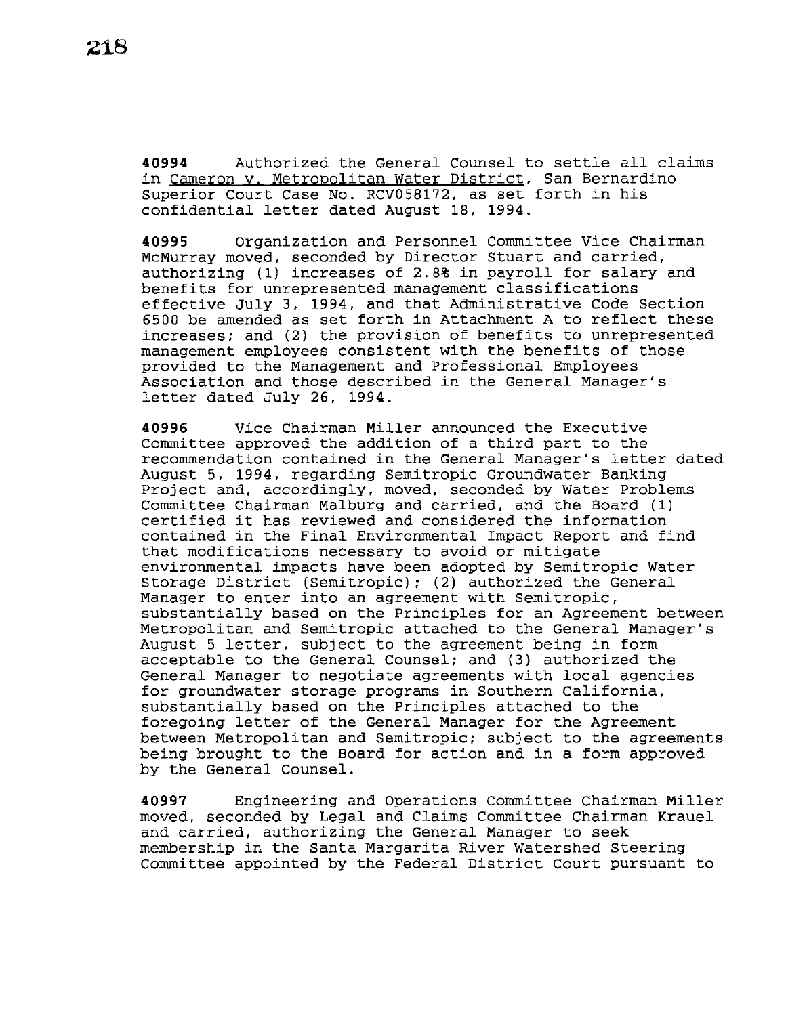**<sup>40994</sup>**Authorized the General counsel to settle all claims in Cameron v. Metropolitan Water District, San Bernardino Superior Court Case No. RCV058172, as set forth in his confidential letter dated August 18, 1994.

**40995** Organization and Personnel Committee Vice Chairman McMurray moved, seconded by Director Stuart and carried, authorizing (1) increases of 2.8% in payroll for salary and benefits for unrepresented management classifications effective July 3, 1994, and that Administrative Code Section 6500 be amended as set forth in Attachment A to reflect these increases; and (2) the provision of benefits to unrepresented management employees consistent with the benefits of those provided to the Management and Professional Employees Association and those described in the General Manager's letter dated July 26, 1994.

**40996** Vice Chairman Miller announced the Executive Committee approved the addition of a third part to the recommendation contained in the General Manager's letter dated August 5, 1994, regarding Semitropic Groundwater Banking Project and, accordingly, moved, seconded by Water Problems Committee Chairman Malburg and carried, and the Board (1) certified it has reviewed and considered the information contained in the Final Environmental Impact Report and find that modifications necessary to avoid or mitigate environmental impacts have been adopted by Semitropic Water Storage District (Semitropic); (2) authorized the General Manager to enter into an agreement with semitropic, substantially based on the Principles for an Agreement between Metropolitan and Semitropic attached to the General Manager's August 5 letter, subject to the agreement being in form acceptable to the General Counsel; and (3) authorized the General Manager to negotiate agreements with local agencies for groundwater storage programs in Southern California, substantially based on the Principles attached to the foregoing letter of the General Manager for the Agreement between Metropolitan and Semitropic; subject to the agreements being brought to the Board for action and in a form approved by the General Counsel.

**40997** Engineering and Operations Committee Chairman Miller moved, seconded by Legal and Claims Committee Chairman Krauel and carried, authorizing the General Manager to seek membership in the santa Margarita River Watershed Steering Committee appointed by the Federal District Court pursuant to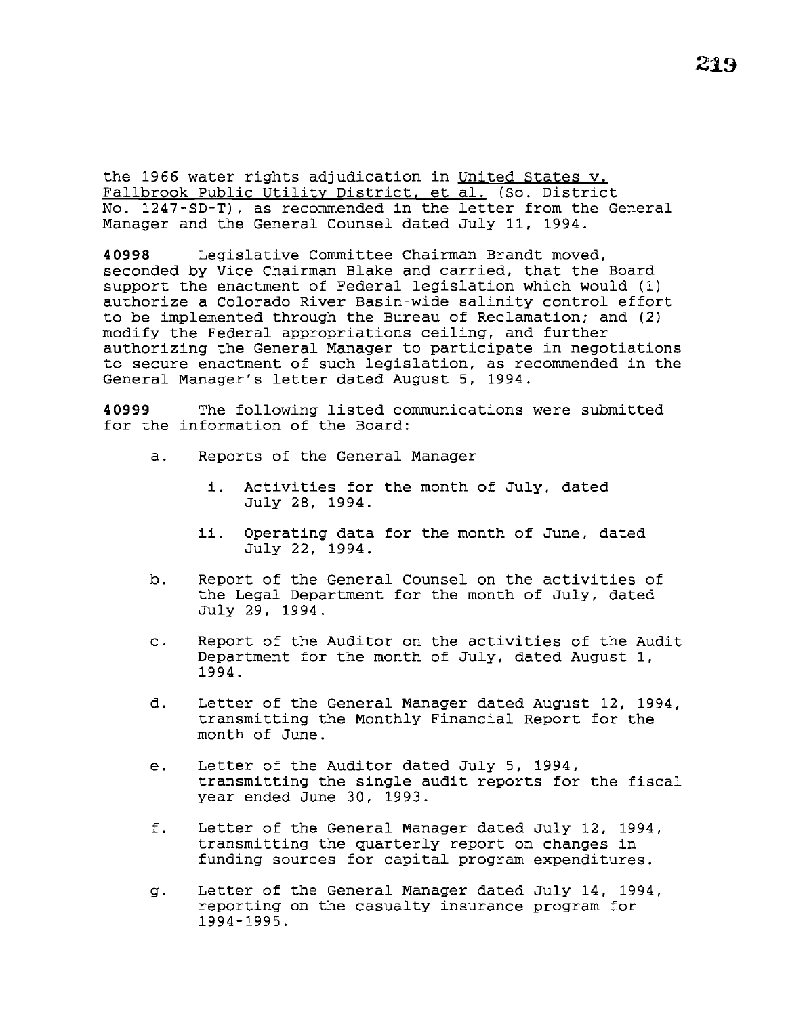the 1966 water rights adjudication in United States v. Fallbrook Public Utility District, et al. (So. District No. 1247-SD-T), as recommended in the letter from the General Manager and the General Counsel dated July 11, 1994.

**40998** Legislative Committee Chairman Brandt moved, seconded by Vice Chairman Blake and carried, that the Board support the enactment of Federal legislation which would (1) authorize a Colorado River Basin-wide salinity control effort to be implemented through the Bureau of Reclamation; and (2) modify the Federal appropriations ceiling, and further authorizing the General Manager to participate in negotiations to secure enactment of such legislation, as recommended in the General Manager's letter dated August 5, 1994.

**40999** The following listed communications were submitted for the information of the Board:

- a. Reports of the General Manager
	- i. Activities for the month of July, dated July 28, 1994.
	- ii. Operating data for the month of June, dated July 22, 1994.
- b. Report of the General Counsel on the activities of the Legal Department for the month of July, dated July 29, 1994.
- c. Report of the Auditor on the activities of the Audit Department for the month of July, dated August 1, 1994.
- d. Letter of the General Manager dated August 12, 1994, transmitting the Monthly Financial Report for the month of June.
- e. Letter of the Auditor dated July 5, 1994, transmitting the single audit reports for the fiscal year ended June 30, 1993.
- f. Letter of the General Manager dated July 12, 1994, transmitting the quarterly report on changes in funding sources for capital program expenditures.
- g. Letter of the General Manager dated July 14, 1994, reporting on the casualty insurance program for 1994-1995.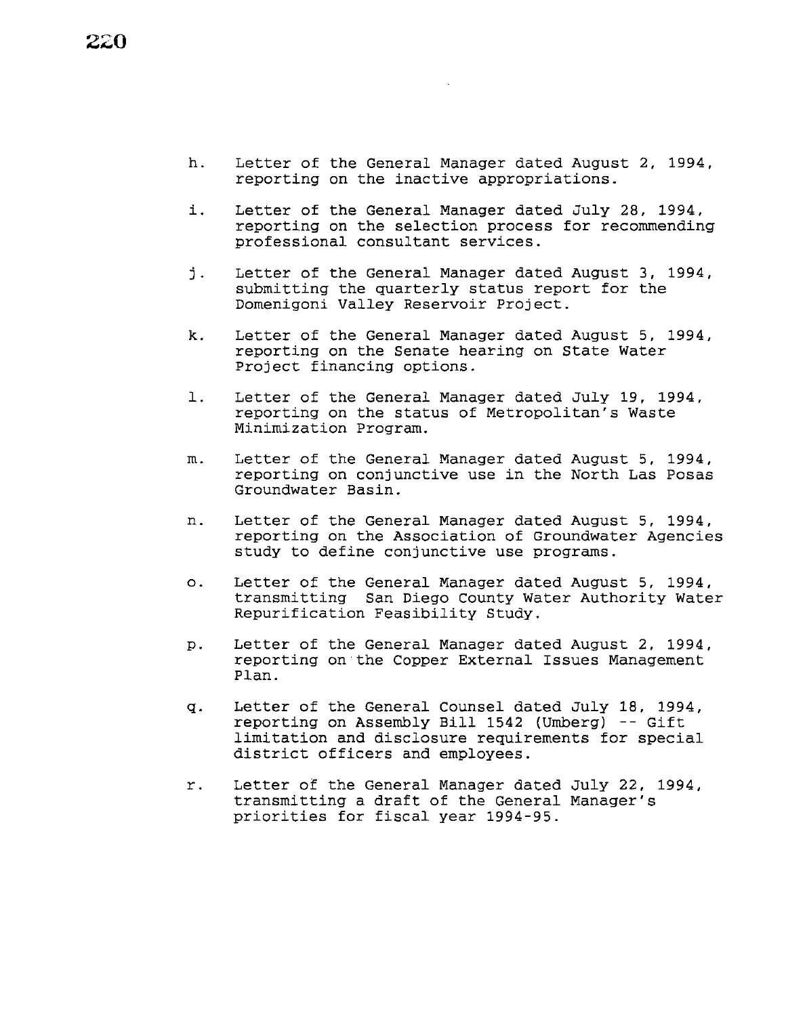- h. Letter of the General Manager dated August 2, 1994, reporting on the inactive appropriations.
- *i.* Letter of the General Manager dated July 28, 1994, reporting on the selection process for recommending professional consultant services.
- j. Letter of the General Manager dated August 3, 1994, submitting the quarterly status report for the Domenigoni Valley Reservoir Project.
- k. Letter of the General Manager dated August 5, 1994, reporting on the Senate hearing on State Water Project financing options.
- 1. Letter of the General Manager dated July 19, 1994, reporting on the status of Metropolitan's Waste Minimization Program.
- m. Letter of the General Manager dated August 5, 1994, reporting on conjunctive use *in* the North Las Posas Groundwater Basin.
- n. Letter of the General Manager dated August 5, 1994, reporting on the Association of Groundwater Agencies study to define conjunctive use programs.
- o. Letter of the General Manager dated August 5, 1994, transmitting San Diego County Water Authority Water Repurification Feasibility Study.
- p. Letter of the General Manager dated August 2, 1994, reporting on the Copper External Issues Management Plan.
- q. Letter of the General Counsel dated July 18, 1994, reporting on Assembly Bill 1542 (Umberg) -- Gift limitation and disclosure requirements for special district officers and employees.
- r. Letter of the General Manager dated July 22, 1994, transmitting a draft of the General Manager's priorities for fiscal year 1994-95.